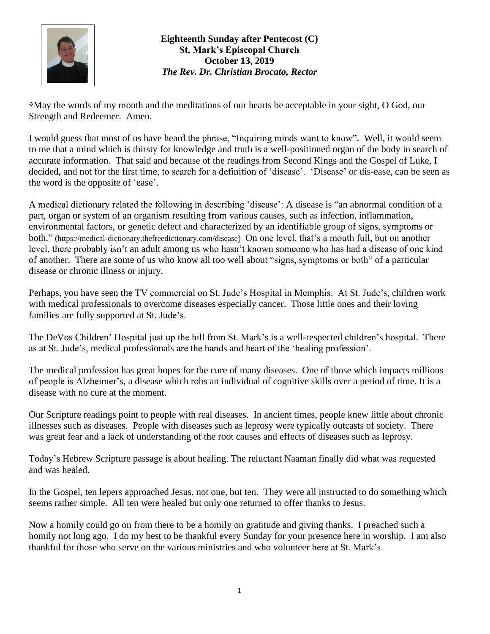

**Eighteenth Sunday after Pentecost (C) St. Mark's Episcopal Church October 13, 2019** *The Rev. Dr. Christian Brocato, Rector*

**†**May the words of my mouth and the meditations of our hearts be acceptable in your sight, O God, our Strength and Redeemer. Amen.

I would guess that most of us have heard the phrase, "Inquiring minds want to know". Well, it would seem to me that a mind which is thirsty for knowledge and truth is a well-positioned organ of the body in search of accurate information. That said and because of the readings from Second Kings and the Gospel of Luke, I decided, and not for the first time, to search for a definition of 'disease'. 'Disease' or dis-ease, can be seen as the word is the opposite of 'ease'.

A medical dictionary related the following in describing 'disease': A disease is "an abnormal condition of a part, organ or system of an organism resulting from various causes, such as infection, inflammation, environmental factors, or genetic defect and characterized by an identifiable group of signs, symptoms or both." [\(https://medical-dictionary.thefreedictionary.com/disease\)]((https:/medical-dictionary.thefreedictionary.com/disease) On one level, that's a mouth full, but on another level, there probably isn't an adult among us who hasn't known someone who has had a disease of one kind of another. There are some of us who know all too well about "signs, symptoms or both" of a particular disease or chronic illness or injury.

Perhaps, you have seen the TV commercial on St. Jude's Hospital in Memphis. At St. Jude's, children work with medical professionals to overcome diseases especially cancer. Those little ones and their loving families are fully supported at St. Jude's.

The DeVos Children' Hospital just up the hill from St. Mark's is a well-respected children's hospital. There as at St. Jude's, medical professionals are the hands and heart of the 'healing profession'.

The medical profession has great hopes for the cure of many diseases. One of those which impacts millions of people is Alzheimer's, a disease which robs an individual of cognitive skills over a period of time. It is a disease with no cure at the moment.

Our Scripture readings point to people with real diseases. In ancient times, people knew little about chronic illnesses such as diseases. People with diseases such as leprosy were typically outcasts of society. There was great fear and a lack of understanding of the root causes and effects of diseases such as leprosy.

Today's Hebrew Scripture passage is about healing. The reluctant Naaman finally did what was requested and was healed.

In the Gospel, ten lepers approached Jesus, not one, but ten. They were all instructed to do something which seems rather simple. All ten were healed but only one returned to offer thanks to Jesus.

Now a homily could go on from there to be a homily on gratitude and giving thanks. I preached such a homily not long ago. I do my best to be thankful every Sunday for your presence here in worship. I am also thankful for those who serve on the various ministries and who volunteer here at St. Mark's.